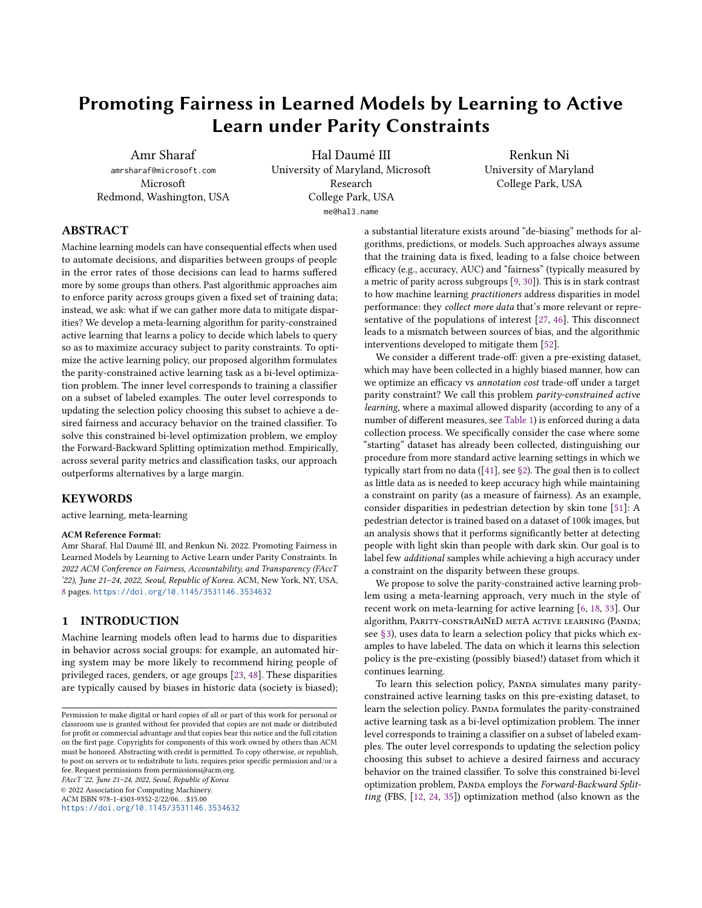# Promoting Fairness in Learned Models by Learning to Active Learn under Parity Constraints

Amr Sharaf amrsharaf@microsoft.com Microsoft Redmond, Washington, USA

Hal Daumé III University of Maryland, Microsoft Research College Park, USA me@hal3.name

Renkun Ni University of Maryland College Park, USA

# ABSTRACT

Machine learning models can have consequential effects when used to automate decisions, and disparities between groups of people in the error rates of those decisions can lead to harms suffered more by some groups than others. Past algorithmic approaches aim to enforce parity across groups given a fixed set of training data; instead, we ask: what if we can gather more data to mitigate disparities? We develop a meta-learning algorithm for parity-constrained active learning that learns a policy to decide which labels to query so as to maximize accuracy subject to parity constraints. To optimize the active learning policy, our proposed algorithm formulates the parity-constrained active learning task as a bi-level optimization problem. The inner level corresponds to training a classifier on a subset of labeled examples. The outer level corresponds to updating the selection policy choosing this subset to achieve a desired fairness and accuracy behavior on the trained classifier. To solve this constrained bi-level optimization problem, we employ the Forward-Backward Splitting optimization method. Empirically, across several parity metrics and classification tasks, our approach outperforms alternatives by a large margin.

#### KEYWORDS

active learning, meta-learning

#### ACM Reference Format:

Amr Sharaf, Hal Daumé III, and Renkun Ni. 2022. Promoting Fairness in Learned Models by Learning to Active Learn under Parity Constraints. In 2022 ACM Conference on Fairness, Accountability, and Transparency (FAccT '22), June 21–24, 2022, Seoul, Republic of Korea. ACM, New York, NY, USA, [8](#page-7-0) pages. <https://doi.org/10.1145/3531146.3534632>

# 1 INTRODUCTION

Machine learning models often lead to harms due to disparities in behavior across social groups: for example, an automated hiring system may be more likely to recommend hiring people of privileged races, genders, or age groups [\[23,](#page-6-0) [48\]](#page-7-1). These disparities are typically caused by biases in historic data (society is biased);

FAccT '22, June 21–24, 2022, Seoul, Republic of Korea

© 2022 Association for Computing Machinery.

ACM ISBN 978-1-4503-9352-2/22/06. . . \$15.00

<https://doi.org/10.1145/3531146.3534632>

a substantial literature exists around "de-biasing" methods for algorithms, predictions, or models. Such approaches always assume that the training data is fixed, leading to a false choice between efficacy (e.g., accuracy, AUC) and "fairness" (typically measured by a metric of parity across subgroups [\[9,](#page-6-1) [30\]](#page-7-2)). This is in stark contrast to how machine learning practitioners address disparities in model performance: they collect more data that's more relevant or representative of the populations of interest [\[27,](#page-7-3) [46\]](#page-7-4). This disconnect leads to a mismatch between sources of bias, and the algorithmic interventions developed to mitigate them [\[52\]](#page-7-5).

We consider a different trade-off: given a pre-existing dataset, which may have been collected in a highly biased manner, how can we optimize an efficacy vs annotation cost trade-off under a target parity constraint? We call this problem parity-constrained active learning, where a maximal allowed disparity (according to any of a number of different measures, see [Table 1\)](#page-2-0) is enforced during a data collection process. We specifically consider the case where some "starting" dataset has already been collected, distinguishing our procedure from more standard active learning settings in which we typically start from no data ([\[41\]](#page-7-6), see [§2\)](#page-1-0). The goal then is to collect as little data as is needed to keep accuracy high while maintaining a constraint on parity (as a measure of fairness). As an example, consider disparities in pedestrian detection by skin tone [\[51\]](#page-7-7): A pedestrian detector is trained based on a dataset of 100k images, but an analysis shows that it performs significantly better at detecting people with light skin than people with dark skin. Our goal is to label few additional samples while achieving a high accuracy under a constraint on the disparity between these groups.

We propose to solve the parity-constrained active learning problem using a meta-learning approach, very much in the style of recent work on meta-learning for active learning [\[6,](#page-6-2) [18,](#page-6-3) [33\]](#page-7-8). Our algorithm, Parity-constrAiNeD metA active learning (Panda; see [§3\)](#page-1-1), uses data to learn a selection policy that picks which examples to have labeled. The data on which it learns this selection policy is the pre-existing (possibly biased!) dataset from which it continues learning.

To learn this selection policy, PANDA simulates many parityconstrained active learning tasks on this pre-existing dataset, to learn the selection policy. PANDA formulates the parity-constrained active learning task as a bi-level optimization problem. The inner level corresponds to training a classifier on a subset of labeled examples. The outer level corresponds to updating the selection policy choosing this subset to achieve a desired fairness and accuracy behavior on the trained classifier. To solve this constrained bi-level optimization problem, PANDA employs the Forward-Backward Splitting (FBS, [\[12,](#page-6-4) [24,](#page-6-5) [35\]](#page-7-9)) optimization method (also known as the

Permission to make digital or hard copies of all or part of this work for personal or classroom use is granted without fee provided that copies are not made or distributed for profit or commercial advantage and that copies bear this notice and the full citation on the first page. Copyrights for components of this work owned by others than ACM must be honored. Abstracting with credit is permitted. To copy otherwise, or republish, to post on servers or to redistribute to lists, requires prior specific permission and/or a fee. Request permissions from permissions@acm.org.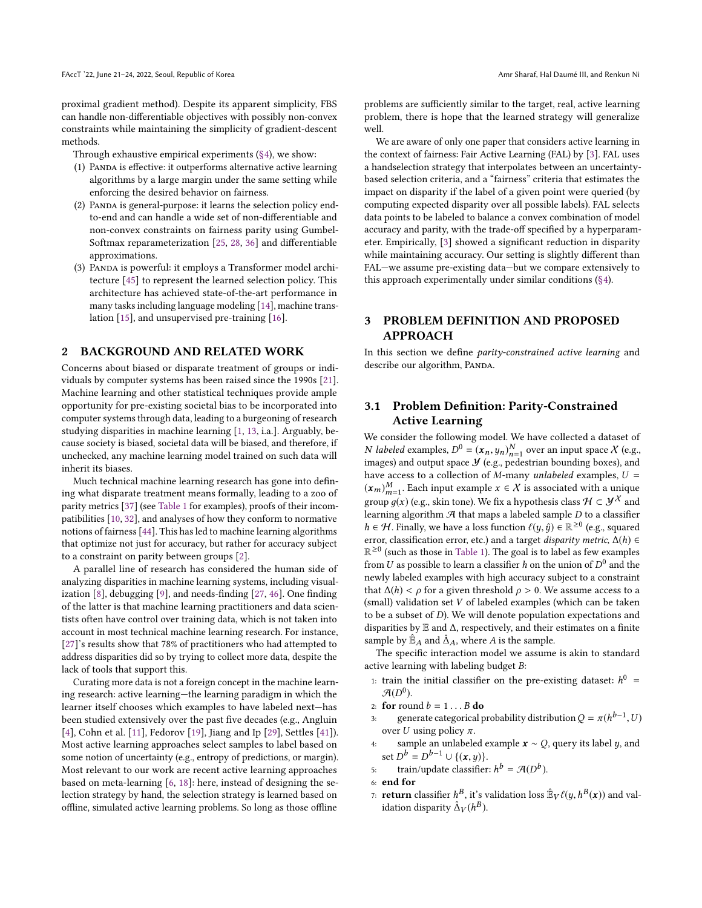proximal gradient method). Despite its apparent simplicity, FBS can handle non-differentiable objectives with possibly non-convex constraints while maintaining the simplicity of gradient-descent methods.

Through exhaustive empirical experiments [\(§4\)](#page-3-0), we show:

- (1) Panda is effective: it outperforms alternative active learning algorithms by a large margin under the same setting while enforcing the desired behavior on fairness.
- (2) Panda is general-purpose: it learns the selection policy endto-end and can handle a wide set of non-differentiable and non-convex constraints on fairness parity using Gumbel-Softmax reparameterization [\[25,](#page-7-10) [28,](#page-7-11) [36\]](#page-7-12) and differentiable approximations.
- (3) Panda is powerful: it employs a Transformer model architecture [\[45\]](#page-7-13) to represent the learned selection policy. This architecture has achieved state-of-the-art performance in many tasks including language modeling [\[14\]](#page-6-6), machine translation [\[15\]](#page-6-7), and unsupervised pre-training [\[16\]](#page-6-8).

#### <span id="page-1-0"></span>2 BACKGROUND AND RELATED WORK

Concerns about biased or disparate treatment of groups or individuals by computer systems has been raised since the 1990s [\[21\]](#page-6-9). Machine learning and other statistical techniques provide ample opportunity for pre-existing societal bias to be incorporated into computer systems through data, leading to a burgeoning of research studying disparities in machine learning [\[1,](#page-6-10) [13,](#page-6-11) i.a.]. Arguably, because society is biased, societal data will be biased, and therefore, if unchecked, any machine learning model trained on such data will inherit its biases.

Much technical machine learning research has gone into defining what disparate treatment means formally, leading to a zoo of parity metrics [\[37\]](#page-7-14) (see [Table 1](#page-2-0) for examples), proofs of their incompatibilities [\[10,](#page-6-12) [32\]](#page-7-15), and analyses of how they conform to normative notions of fairness [\[44\]](#page-7-16). This has led to machine learning algorithms that optimize not just for accuracy, but rather for accuracy subject to a constraint on parity between groups [\[2\]](#page-6-13).

A parallel line of research has considered the human side of analyzing disparities in machine learning systems, including visualization [\[8\]](#page-6-14), debugging [\[9\]](#page-6-1), and needs-finding [\[27,](#page-7-3) [46\]](#page-7-4). One finding of the latter is that machine learning practitioners and data scientists often have control over training data, which is not taken into account in most technical machine learning research. For instance, [\[27\]](#page-7-3)'s results show that 78% of practitioners who had attempted to address disparities did so by trying to collect more data, despite the lack of tools that support this.

Curating more data is not a foreign concept in the machine learning research: active learning—the learning paradigm in which the learner itself chooses which examples to have labeled next—has been studied extensively over the past five decades (e.g., Angluin [\[4\]](#page-6-15), Cohn et al. [\[11\]](#page-6-16), Fedorov [\[19\]](#page-6-17), Jiang and Ip [\[29\]](#page-7-17), Settles [\[41\]](#page-7-6)). Most active learning approaches select samples to label based on some notion of uncertainty (e.g., entropy of predictions, or margin). Most relevant to our work are recent active learning approaches based on meta-learning [\[6,](#page-6-2) [18\]](#page-6-3): here, instead of designing the selection strategy by hand, the selection strategy is learned based on offline, simulated active learning problems. So long as those offline

problems are sufficiently similar to the target, real, active learning problem, there is hope that the learned strategy will generalize well.

We are aware of only one paper that considers active learning in the context of fairness: Fair Active Learning (FAL) by [\[3\]](#page-6-18). FAL uses a handselection strategy that interpolates between an uncertaintybased selection criteria, and a "fairness" criteria that estimates the impact on disparity if the label of a given point were queried (by computing expected disparity over all possible labels). FAL selects data points to be labeled to balance a convex combination of model accuracy and parity, with the trade-off specified by a hyperparameter. Empirically, [\[3\]](#page-6-18) showed a significant reduction in disparity while maintaining accuracy. Our setting is slightly different than FAL—we assume pre-existing data—but we compare extensively to this approach experimentally under similar conditions [\(§4\)](#page-3-0).

# <span id="page-1-1"></span>3 PROBLEM DEFINITION AND PROPOSED APPROACH

In this section we define parity-constrained active learning and describe our algorithm, PANDA.

# <span id="page-1-2"></span>3.1 Problem Definition: Parity-Constrained Active Learning

We consider the following model. We have collected a dataset of *N* labeled examples,  $D^0 = (\mathbf{x}_n, y_n)_n^N$  over an input space *X* (e.g., images) and output space *X* (e.g., nedestrian bounding bayes) and iv *iddeted* examples,  $D = (x_n, y_n)_{n=1}$  over an input space  $\Lambda$  (e.g., images) and output space  $\mathcal Y$  (e.g., pedestrian bounding boxes), and have access to a collection of M-many unlabeled examples,  $U =$  $(x_m)_{m=1}^M$ . Each input example  $x \in X$  is associated with a unique  $\left(\frac{\lambda m}{m=1}\right)$ . Lacti input example  $\lambda \in \Lambda$  is associated with a unique<br>group  $g(x)$  (e.g., skin tone). We fix a hypothesis class  $\mathcal{H} \subset \mathcal{Y}^{\lambda}$  and<br>learning algorithm  $\mathcal{A}$  that maps a labeled sample D to a cl learning algorithm  $A$  that maps a labeled sample  $D$  to a classifier  $h \in \mathcal{H}$ . Finally, we have a loss function  $\ell(y, \hat{y}) \in \mathbb{R}^{\geq 0}$  (e.g., squared<br>error classification error etc.) and a target disparity metric  $\Delta(h) \in$ error, classification error, etc.) and a target *disparity metric*,  $\Delta(h) \in$  $\mathbb{R}^{\geq 0}$  (such as those in [Table 1\)](#page-2-0). The goal is to label as few examples from U as possible to learn a classifier h on the union of  $D^0$  and the neuly labeled examples with high accuracy subject to a constraint newly labeled examples with high accuracy subject to a constraint that  $\Delta(h) < \rho$  for a given threshold  $\rho > 0$ . We assume access to a (small) validation set V of labeled examples (which can be taken to be a subset of D). We will denote population expectations and disparities by <sup>E</sup> and ∆, respectively, and their estimates on a finite sample by  $\mathbb{E}_A$  and  $\hat{\Delta}_A$ , where A is the sample.

The specific interaction model we assume is akin to standard active learning with labeling budget B:

- 1: train the initial classifier on the pre-existing dataset:  $h^0 = a(n^0)$  $\mathcal{A}(D^0)$ .<br>for roy
- 2: **for** round  $b = 1...B$  **do**<br>3: **generate categorical p**
- 3: generate categorical probability distribution  $Q = \pi(h^{b-1}, U)$ <br>over  $U$  using policy  $\pi$ over U using policy  $\pi$ .
- <span id="page-1-3"></span>4: sample an unlabeled example  $x \sim Q$ , query its label y, and set  $D^b = D^{b-1} \cup \{(\mathbf{x}, y)\}.$
- <span id="page-1-4"></span>5: train/update classifier:  $h^b = \mathcal{A}(D^b)$ .

7: **return** classifier  $h^B$ , it's validation loss  $\mathbb{B}_V \ell(y, h^B(x))$  and validation disparity  $\hat{\Lambda}_{Y}(h^B)$ idation disparity  $\hat{\Delta}_V(h^B)$ .

<sup>6:</sup> end for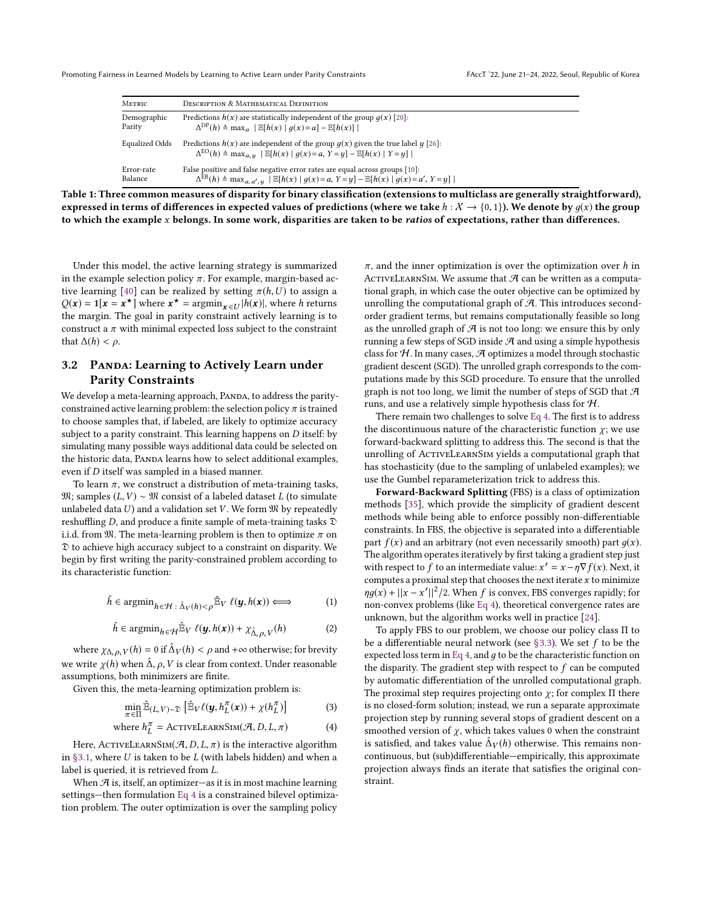Promoting Fairness in Learned Models by Learning to Active Learn under Parity Constraints FACCT '22, June 21-24, 2022, Seoul, Republic of Korea

<span id="page-2-0"></span>

| <b>METRIC</b>         | DESCRIPTION & MATHEMATICAL DEFINITION                                                                                                                                                     |
|-----------------------|-------------------------------------------------------------------------------------------------------------------------------------------------------------------------------------------|
| Demographic           | Predictions $h(x)$ are statistically independent of the group $q(x)$ [20]:                                                                                                                |
| Parity                | $\Delta^{\text{DP}}(h) \triangleq \max_{a}  E[h(x)   q(x)=a] - E[h(x)] $                                                                                                                  |
| <b>Equalized Odds</b> | Predictions $h(x)$ are independent of the group $q(x)$ given the true label $y$ [26]:<br>$\Delta^{EO}(h) \triangleq \max_{a,u}  \mathbb{E}[h(x)   g(x)=a, Y=y] - \mathbb{E}[h(x)   Y=y] $ |
| Error-rate            | False positive and false negative error rates are equal across groups [10]:                                                                                                               |
| Balance               | $\Delta^{EB}(h) \triangleq \max_{a, a', u}  E[h(x)   g(x) = a, Y = y] - E[h(x)   g(x) = a', Y = y] $                                                                                      |

expressed in terms of differences in expected values of predictions (where we take  $h : X \to \{0,1\}$ ). We denote by  $g(x)$  the group to which the example x belongs. In some work, disparities are taken to be ratios of expectations, rather than differences.

Under this model, the active learning strategy is summarized in the example selection policy  $\pi$ . For example, margin-based ac-tive learning [\[40\]](#page-7-19) can be realized by setting  $\pi(h, U)$  to assign a  $Q(x) = \mathbf{1}[x = x^*]$  where  $x^* = \operatorname{argmin}_{x \in U} |h(x)|$ , where h returns the margin. The goal in parity constraint actively learning is to the margin. The goal in parity constraint actively learning is to construct a  $\pi$  with minimal expected loss subject to the constraint that  $\Delta(h) < \rho$ .

# 3.2 PANDA: Learning to Actively Learn under Parity Constraints

We develop a meta-learning approach, PANDA, to address the parityconstrained active learning problem: the selection policy  $\pi$  is trained to choose samples that, if labeled, are likely to optimize accuracy subject to a parity constraint. This learning happens on D itself: by simulating many possible ways additional data could be selected on the historic data, PANDA learns how to select additional examples, even if D itself was sampled in a biased manner.

To learn  $\pi$ , we construct a distribution of meta-training tasks,  $\mathfrak{M}$ ; samples (*L*, *V*) ∼  $\mathfrak{M}$  consist of a labeled dataset *L* (to simulate unlabeled data  $U$ ) and a validation set  $V$ . We form  $\mathfrak M$  by repeatedly reshuffling D, and produce a finite sample of meta-training tasks <sup>D</sup> i.i.d. from  $\mathfrak{M}$ . The meta-learning problem is then to optimize  $\pi$  on D to achieve high accuracy subject to a constraint on disparity. We begin by first writing the parity-constrained problem according to its characteristic function:

$$
\hat{h} \in \operatorname{argmin}_{h \in \mathcal{H}} \,:\, \hat{\Delta}_V(h) < \rho \hat{\mathbb{E}}_V \, \ell(\mathbf{y}, h(\mathbf{x})) \Longleftrightarrow \tag{1}
$$

$$
\hat{h} \in \operatorname{argmin}_{h \in \mathcal{H}} \hat{\mathbb{E}}_V \; \ell(\mathbf{y}, h(\mathbf{x})) + \chi_{\hat{\Delta}, \rho, V}(h) \tag{2}
$$

where  $\chi_{\Delta,\rho,V}(h) = 0$  if  $\hat{\Delta}_V(h) < \rho$  and  $+\infty$  otherwise; for brevity we write  $\chi(h)$  when  $\hat{\Delta}$ ,  $\rho$ , V is clear from context. Under reasonable assumptions, both minimizers are finite.

Given this, the meta-learning optimization problem is:

$$
\min_{\pi \in \Pi} \hat{\mathbb{E}}_{(L,V)\sim \mathfrak{D}} \left[ \hat{\mathbb{E}}_V \ell(\mathbf{y}, h_L^{\pi}(\mathbf{x})) + \chi(h_L^{\pi}) \right]
$$
(3)

where 
$$
h_L^{\pi}
$$
 = ACTIVELEARNINGIM( $\mathcal{A}, D, L, \pi$ ) (4)

Here, ActiveLearnSim $(\mathcal{A}, D, L, \pi)$  is the interactive algorithm<br>83.1, where  $U$  is taken to be  $U$  (with labels hidden) and when a in  $\S 3.1$ , where U is taken to be L (with labels hidden) and when a label is queried, it is retrieved from L.

When  $\mathcal{A}$  is, itself, an optimizer—as it is in most machine learning settings—then formulation [Eq 4](#page-2-1) is a constrained bilevel optimization problem. The outer optimization is over the sampling policy

 $\pi$ , and the inner optimization is over the optimization over h in ACTIVELEARNSIM. We assume that  $A$  can be written as a computational graph, in which case the outer objective can be optimized by unrolling the computational graph of  $A$ . This introduces secondorder gradient terms, but remains computationally feasible so long as the unrolled graph of  $\mathcal A$  is not too long: we ensure this by only running a few steps of SGD inside  $A$  and using a simple hypothesis class for  $H$ . In many cases,  $H$  optimizes a model through stochastic gradient descent (SGD). The unrolled graph corresponds to the computations made by this SGD procedure. To ensure that the unrolled graph is not too long, we limit the number of steps of SGD that A runs, and use a relatively simple hypothesis class for H.

There remain two challenges to solve [Eq 4.](#page-2-1) The first is to address the discontinuous nature of the characteristic function  $\chi$ ; we use forward-backward splitting to address this. The second is that the unrolling of ACTIVELEARNSIM yields a computational graph that has stochasticity (due to the sampling of unlabeled examples); we use the Gumbel reparameterization trick to address this.

Forward-Backward Splitting (FBS) is a class of optimization methods [\[35\]](#page-7-9), which provide the simplicity of gradient descent methods while being able to enforce possibly non-differentiable constraints. In FBS, the objective is separated into a differentiable part  $f(x)$  and an arbitrary (not even necessarily smooth) part  $g(x)$ . The algorithm operates iteratively by first taking a gradient step just with respect to  $\hat{f}$  to an intermediate value:  $x' = x - \eta \nabla f(x)$ . Next, it computes a proximal step that chooses the next iterate  $x$  to minimize  $\eta g(x) + ||x - x'||^2/2$ . When f is convex, FBS converges rapidly; for non-convex problems (like Eq. 4), theoretical convergence rates are non-convex problems (like [Eq 4\)](#page-2-1), theoretical convergence rates are unknown, but the algorithm works well in practice [\[24\]](#page-6-5).

<span id="page-2-1"></span>To apply FBS to our problem, we choose our policy class Π to be a differentiable neural network (see  $\S 3.3$ ). We set  $f$  to be the expected loss term in [Eq 4,](#page-2-1) and  $g$  to be the characteristic function on the disparity. The gradient step with respect to  $f$  can be computed by automatic differentiation of the unrolled computational graph. The proximal step requires projecting onto  $\chi$ ; for complex  $\Pi$  there is no closed-form solution; instead, we run a separate approximate projection step by running several stops of gradient descent on a smoothed version of  $\chi$ , which takes values 0 when the constraint is satisfied, and takes value  $\hat{\Delta}_V(h)$  otherwise. This remains non-<br>continuous but (cub)differentiable—empirically this approximate continuous, but (sub)differentiable—empirically, this approximate projection always finds an iterate that satisfies the original constraint.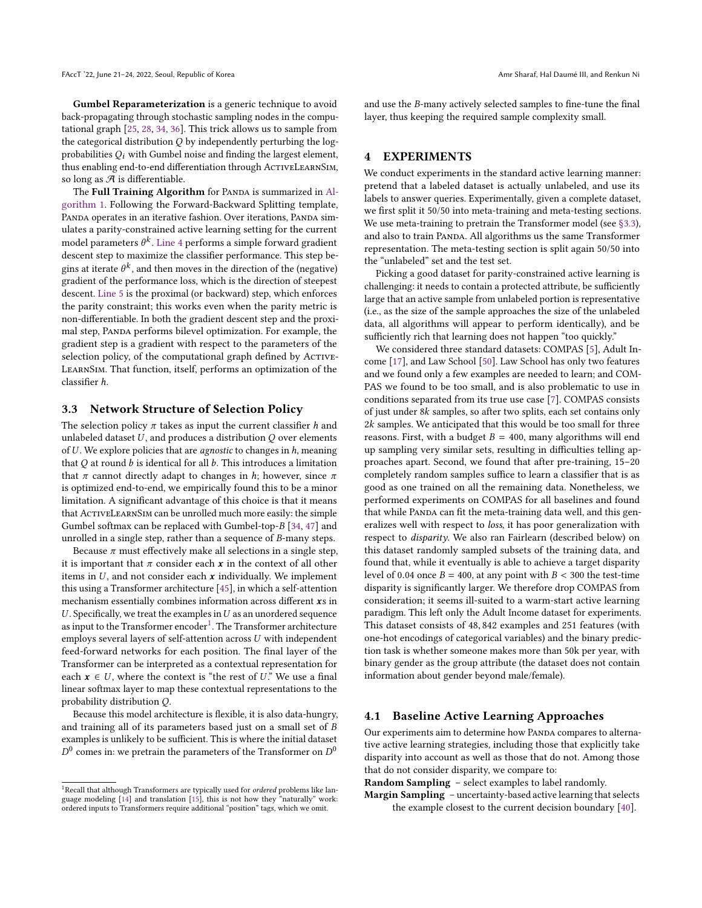Gumbel Reparameterization is a generic technique to avoid back-propagating through stochastic sampling nodes in the computational graph [\[25,](#page-7-10) [28,](#page-7-11) [34,](#page-7-20) [36\]](#page-7-12). This trick allows us to sample from the categorical distribution  $Q$  by independently perturbing the logprobabilities  $Q_i$  with Gumbel noise and finding the largest element, thus enabling end-to-end differentiation through ACTIVELEARNSIM, so long as  $A$  is differentiable.

The Full Training Algorithm for PANDA is summarized in [Al](#page-4-0)[gorithm 1.](#page-4-0) Following the Forward-Backward Splitting template, PANDA operates in an iterative fashion. Over iterations, PANDA simulates a parity-constrained active learning setting for the current model parameters  $\theta^k$ . [Line 4](#page-1-3) performs a simple forward gradient<br>descent step to maximize the classifier performance. This step be descent step to maximize the classifier performance. This step begins at iterate  $\theta^k$ , and then moves in the direction of the (negative) gradient of the performance loss, which is the direction of steepest gradient of the performance loss, which is the direction of steepest descent. [Line 5](#page-1-4) is the proximal (or backward) step, which enforces the parity constraint; this works even when the parity metric is non-differentiable. In both the gradient descent step and the proximal step, PANDA performs bilevel optimization. For example, the gradient step is a gradient with respect to the parameters of the selection policy, of the computational graph defined by ACTIVE-LearnSim. That function, itself, performs an optimization of the classifier h.

## <span id="page-3-1"></span>3.3 Network Structure of Selection Policy

The selection policy  $\pi$  takes as input the current classifier h and unlabeled dataset  $U$ , and produces a distribution  $Q$  over elements of  $U$ . We explore policies that are *agnostic* to changes in  $h$ , meaning that  $O$  at round  $b$  is identical for all  $b$ . This introduces a limitation that  $\pi$  cannot directly adapt to changes in h; however, since  $\pi$ is optimized end-to-end, we empirically found this to be a minor limitation. A significant advantage of this choice is that it means that ACTIVELEARNSIM can be unrolled much more easily: the simple Gumbel softmax can be replaced with Gumbel-top-B [\[34,](#page-7-20) [47\]](#page-7-21) and unrolled in a single step, rather than a sequence of B-many steps.

Because  $\pi$  must effectively make all selections in a single step, it is important that  $\pi$  consider each  $x$  in the context of all other items in  $U$ , and not consider each  $x$  individually. We implement this using a Transformer architecture [\[45\]](#page-7-13), in which a self-attention mechanism essentially combines information across different xs in  $U$ . Specifically, we treat the examples in  $U$  as an unordered sequence as input to the Transformer encoder $^1.$  $^1.$  $^1.$  The Transformer architecture employs several layers of self-attention across U with independent feed-forward networks for each position. The final layer of the Transformer can be interpreted as a contextual representation for each  $x \in U$ , where the context is "the rest of U." We use a final linear softmax layer to map these contextual representations to the probability distribution Q.

Because this model architecture is flexible, it is also data-hungry, and training all of its parameters based just on a small set of B examples is unlikely to be sufficient. This is where the initial dataset  $^0$  comes in: we pretrain the parameters of the Transformer on  $D^0$ 

and use the B-many actively selected samples to fine-tune the final layer, thus keeping the required sample complexity small.

## <span id="page-3-0"></span>4 EXPERIMENTS

We conduct experiments in the standard active learning manner: pretend that a labeled dataset is actually unlabeled, and use its labels to answer queries. Experimentally, given a complete dataset, we first split it 50/50 into meta-training and meta-testing sections. We use meta-training to pretrain the Transformer model (see [§3.3\)](#page-3-1), and also to train PANDA. All algorithms us the same Transformer representation. The meta-testing section is split again 50/50 into the "unlabeled" set and the test set.

Picking a good dataset for parity-constrained active learning is challenging: it needs to contain a protected attribute, be sufficiently large that an active sample from unlabeled portion is representative (i.e., as the size of the sample approaches the size of the unlabeled data, all algorithms will appear to perform identically), and be sufficiently rich that learning does not happen "too quickly."

We considered three standard datasets: COMPAS [\[5\]](#page-6-20), Adult Income [\[17\]](#page-6-21), and Law School [\[50\]](#page-7-22). Law School has only two features and we found only a few examples are needed to learn; and COM-PAS we found to be too small, and is also problematic to use in conditions separated from its true use case [\[7\]](#page-6-22). COMPAS consists of just under <sup>8</sup>k samples, so after two splits, each set contains only <sup>2</sup>k samples. We anticipated that this would be too small for three reasons. First, with a budget  $B = 400$ , many algorithms will end up sampling very similar sets, resulting in difficulties telling approaches apart. Second, we found that after pre-training, 15–20 completely random samples suffice to learn a classifier that is as good as one trained on all the remaining data. Nonetheless, we performed experiments on COMPAS for all baselines and found that while PANDA can fit the meta-training data well, and this generalizes well with respect to loss, it has poor generalization with respect to disparity. We also ran Fairlearn (described below) on this dataset randomly sampled subsets of the training data, and found that, while it eventually is able to achieve a target disparity level of 0.04 once  $B = 400$ , at any point with  $B < 300$  the test-time disparity is significantly larger. We therefore drop COMPAS from consideration; it seems ill-suited to a warm-start active learning paradigm. This left only the Adult Income dataset for experiments. This dataset consists of <sup>48</sup>, <sup>842</sup> examples and <sup>251</sup> features (with one-hot encodings of categorical variables) and the binary prediction task is whether someone makes more than 50k per year, with binary gender as the group attribute (the dataset does not contain information about gender beyond male/female).

### <span id="page-3-3"></span>4.1 Baseline Active Learning Approaches

Our experiments aim to determine how PANDA compares to alternative active learning strategies, including those that explicitly take disparity into account as well as those that do not. Among those that do not consider disparity, we compare to:

Random Sampling – select examples to label randomly.

Margin Sampling – uncertainty-based active learning that selects the example closest to the current decision boundary [\[40\]](#page-7-19).

<span id="page-3-2"></span><sup>&</sup>lt;sup>1</sup>Recall that although Transformers are typically used for *ordered* problems like lan-<br>guage modeling [\[14\]](#page-6-6) and translation [\[15\]](#page-6-7), this is not how they "naturally" work: ordered inputs to Transformers require additional "position" tags, which we omit.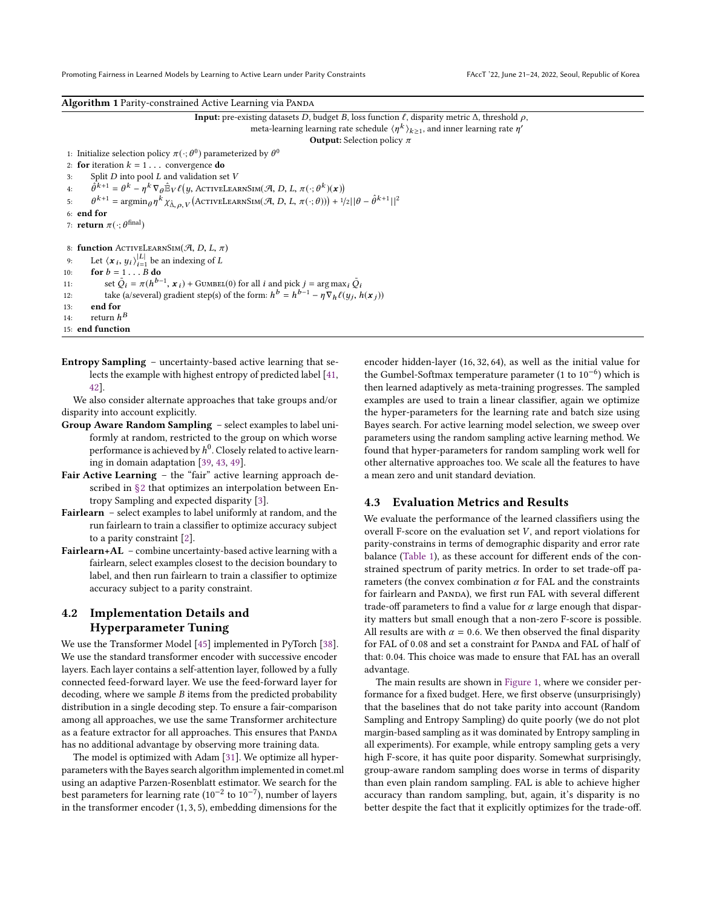Promoting Fairness in Learned Models by Learning to Active Learn under Parity Constraints FACCT '22, June 21-24, 2022, Seoul, Republic of Korea

<span id="page-4-0"></span>Algorithm 1 Parity-constrained Active Learning via PANDA

| <b>Input:</b> pre-existing datasets D, budget B, loss function $\ell$ , disparity metric $\Delta$ , threshold $\rho$ ,                                                    |
|---------------------------------------------------------------------------------------------------------------------------------------------------------------------------|
| meta-learning learning rate schedule $\langle \eta^k \rangle_{k>1}$ , and inner learning rate $\eta'$                                                                     |
| <b>Output:</b> Selection policy $\pi$                                                                                                                                     |
| 1: Initialize selection policy $\pi(\cdot; \theta^0)$ parameterized by $\theta^0$                                                                                         |
| 2: for iteration $k = 1$ convergence do                                                                                                                                   |
| Split $D$ into pool $L$ and validation set $V$<br>3:                                                                                                                      |
| $\hat{\theta}^{k+1} = \theta^k - \eta^k \nabla_{\theta} \mathbb{E}_V \ell(y, \text{ACTIVELEARNINGIM}(\mathcal{A}, D, L, \pi(\cdot; \theta^k)(\mathbf{x}))$<br>4:          |
| $\theta^{k+1} = \arg\min_{\theta} \eta^k \chi_{\hat{\Lambda}, \alpha, V}$ (ACTIVELEARNSIM(A, D, L, $\pi(\cdot; \theta)$ )) + $1/2  \theta - \hat{\theta}^{k+1}  ^2$<br>5: |
| 6: end for                                                                                                                                                                |
| 7: <b>return</b> $\pi(\cdot; \theta^{\text{final}})$                                                                                                                      |
|                                                                                                                                                                           |
| 8: function ACTIVELEARNSIM( $\mathcal{A}$ , D, L, $\pi$ )                                                                                                                 |
| Let $\langle x_i, y_i \rangle_{i=1}^{ L }$ be an indexing of L<br>9:                                                                                                      |
| for $b = 1B$ do<br>10:                                                                                                                                                    |
| set $\tilde{Q}_i = \pi(h^{b-1}, x_i) + \text{Gumbel}(0)$ for all i and pick $j = \arg \max_i \tilde{Q}_i$<br>11:                                                          |
| take (a/several) gradient step(s) of the form: $h^{b} = h^{b-1} - \eta \nabla_h \ell(y_i, h(x_i))$<br>12:                                                                 |
| end for<br>13:                                                                                                                                                            |
| return $h^B$<br>14:                                                                                                                                                       |
| 15: end function                                                                                                                                                          |

Entropy Sampling – uncertainty-based active learning that selects the example with highest entropy of predicted label [\[41,](#page-7-6) [42\]](#page-7-23).

We also consider alternate approaches that take groups and/or disparity into account explicitly.

- Group Aware Random Sampling select examples to label uniformly at random, restricted to the group on which worse performance is achieved by  $h^0$ . Closely related to active learn-<br>ing in domain adaptation  $[39, 43, 49]$ ing in domain adaptation [\[39,](#page-7-24) [43,](#page-7-25) [49\]](#page-7-26).
- Fair Active Learning the "fair" active learning approach described in [§2](#page-1-0) that optimizes an interpolation between Entropy Sampling and expected disparity [\[3\]](#page-6-18).
- Fairlearn select examples to label uniformly at random, and the run fairlearn to train a classifier to optimize accuracy subject to a parity constraint [\[2\]](#page-6-13).
- Fairlearn+AL combine uncertainty-based active learning with a fairlearn, select examples closest to the decision boundary to label, and then run fairlearn to train a classifier to optimize accuracy subject to a parity constraint.

# 4.2 Implementation Details and Hyperparameter Tuning

We use the Transformer Model [\[45\]](#page-7-13) implemented in PyTorch [\[38\]](#page-7-27). We use the standard transformer encoder with successive encoder layers. Each layer contains a self-attention layer, followed by a fully connected feed-forward layer. We use the feed-forward layer for decoding, where we sample B items from the predicted probability distribution in a single decoding step. To ensure a fair-comparison among all approaches, we use the same Transformer architecture as a feature extractor for all approaches. This ensures that PANDA has no additional advantage by observing more training data.

The model is optimized with Adam [\[31\]](#page-7-28). We optimize all hyperparameters with the Bayes search algorithm implemented in comet.ml using an adaptive Parzen-Rosenblatt estimator. We search for the best parameters for learning rate (10−<sup>2</sup> to 10−<sup>7</sup> ), number of layers in the transformer encoder (1, <sup>3</sup>, 5), embedding dimensions for the

encoder hidden-layer (16, <sup>32</sup>, 64), as well as the initial value for the Gumbel-Softmax temperature parameter (1 to 10−<sup>6</sup> ) which is then learned adaptively as meta-training progresses. The sampled examples are used to train a linear classifier, again we optimize the hyper-parameters for the learning rate and batch size using Bayes search. For active learning model selection, we sweep over parameters using the random sampling active learning method. We found that hyper-parameters for random sampling work well for other alternative approaches too. We scale all the features to have a mean zero and unit standard deviation.

### 4.3 Evaluation Metrics and Results

We evaluate the performance of the learned classifiers using the overall F-score on the evaluation set  $V$ , and report violations for parity-constrains in terms of demographic disparity and error rate balance [\(Table 1\)](#page-2-0), as these account for different ends of the constrained spectrum of parity metrics. In order to set trade-off parameters (the convex combination  $\alpha$  for FAL and the constraints for fairlearn and PANDA), we first run FAL with several different trade-off parameters to find a value for  $\alpha$  large enough that disparity matters but small enough that a non-zero F-score is possible. All results are with  $\alpha = 0.6$ . We then observed the final disparity for FAL of 0.08 and set a constraint for PANDA and FAL of half of that: <sup>0</sup>.04. This choice was made to ensure that FAL has an overall advantage.

The main results are shown in [Figure 1,](#page-5-0) where we consider performance for a fixed budget. Here, we first observe (unsurprisingly) that the baselines that do not take parity into account (Random Sampling and Entropy Sampling) do quite poorly (we do not plot margin-based sampling as it was dominated by Entropy sampling in all experiments). For example, while entropy sampling gets a very high F-score, it has quite poor disparity. Somewhat surprisingly, group-aware random sampling does worse in terms of disparity than even plain random sampling. FAL is able to achieve higher accuracy than random sampling, but, again, it's disparity is no better despite the fact that it explicitly optimizes for the trade-off.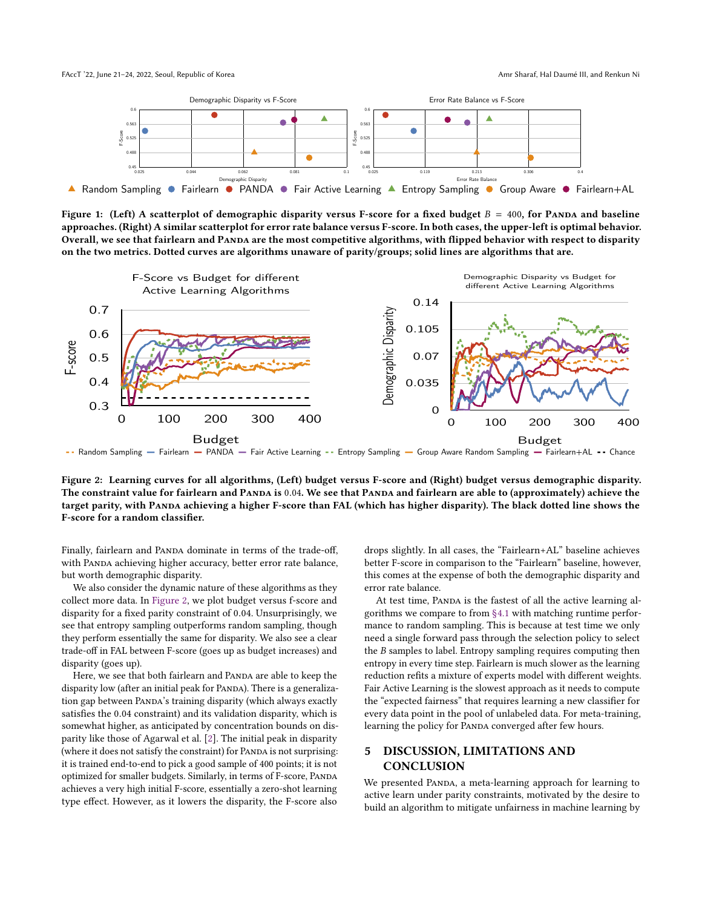<span id="page-5-0"></span>

Figure 1: (Left) A scatterplot of demographic disparity versus F-score for a fixed budget  $B = 400$ , for PANDA and baseline approaches. (Right) A similar scatterplot for error rate balance versus F-score. In both cases, the upper-left is optimal behavior. Overall, we see that fairlearn and PANDA are the most competitive algorithms, with flipped behavior with respect to disparity on the two metrics. Dotted curves are algorithms unaware of parity/groups; solid lines are algorithms that are.

<span id="page-5-1"></span>

-- Random Sampling - Fairlearn - PANDA - Fair Active Learning -- Entropy Sampling - Group Aware Random Sampling - Fairlearn+AL -- Chance

Figure 2: Learning curves for all algorithms, (Left) budget versus F-score and (Right) budget versus demographic disparity. target parity, with Panda achieving a higher F-score than FAL (which has higher disparity). The black dotted line shows the The constraint value for fairlearn and PANDA is 0.04. We see that PANDA and fairlearn are able to (approximately) achieve the F-score for a random classifier.

Finally, fairlearn and PANDA dominate in terms of the trade-off,<br>with PANDA achieving higher accuracy, better error rate balance, Finally, fairlearn and PANDA dominate in terms of the trade-off, but worth demographic disparity.

conect more uata. In Figure 2, we plot budget versus i-score and<br>disparity for a fixed parity constraint of 0.04. Unsurprisingly, we<br>see that entropy sampling outperforms random sampling, though t worth demographic disparity.<br>We also consider the dynamic nature of these algorithms as they they perform essentially the same for disparity. We also see a clear<br>the deaf in FAL hatmon F same (magazine had not in magazine) and disparity for a fixed partly constraint of 5.01. Chicarphonigly, we constraints we<br>see that entropy sampling outperforms random sampling, though mance to ra collect more data. In [Figure 2,](#page-5-1) we plot budget versus f-score and trade-off in FAL between F-score (goes up as budget increases) and disparity (goes up).

Here, we see that both fairlearn and PANDA are able to keep the disparity low (after an initial peak for PANDA). There is a generalization gap between PANDA's training disparity (which always exactly satisfies the <sup>0</sup>.<sup>04</sup> constraint) and its validation disparity, which is somewhat higher, as anticipated by concentration bounds on disparity like those of Agarwal et al. [\[2\]](#page-6-13). The initial peak in disparity (where it does not satisfy the constraint) for PANDA is not surprising: it is trained end-to-end to pick a good sample of 400 points; it is not optimized for smaller budgets. Similarly, in terms of F-score, Panda achieves a very high initial F-score, essentially a zero-shot learning type effect. However, as it lowers the disparity, the F-score also

drops slightly. In all cases, the "Fairlearn+AL" baseline achieves better F-score in comparison to the "Fairlearn" baseline, however, this comes at the expense of both the demographic disparity and error rate balance.

At test time, PANDA is the fastest of all the active learning algorithms we compare to from [§4.1](#page-3-3) with matching runtime performance to random sampling. This is because at test time we only need a single forward pass through the selection policy to select the B samples to label. Entropy sampling requires computing then entropy in every time step. Fairlearn is much slower as the learning reduction refits a mixture of experts model with different weights. Fair Active Learning is the slowest approach as it needs to compute the "expected fairness" that requires learning a new classifier for every data point in the pool of unlabeled data. For meta-training, learning the policy for PANDA converged after few hours.

# 5 DISCUSSION, LIMITATIONS AND **CONCLUSION**

We presented PANDA, a meta-learning approach for learning to active learn under parity constraints, motivated by the desire to build an algorithm to mitigate unfairness in machine learning by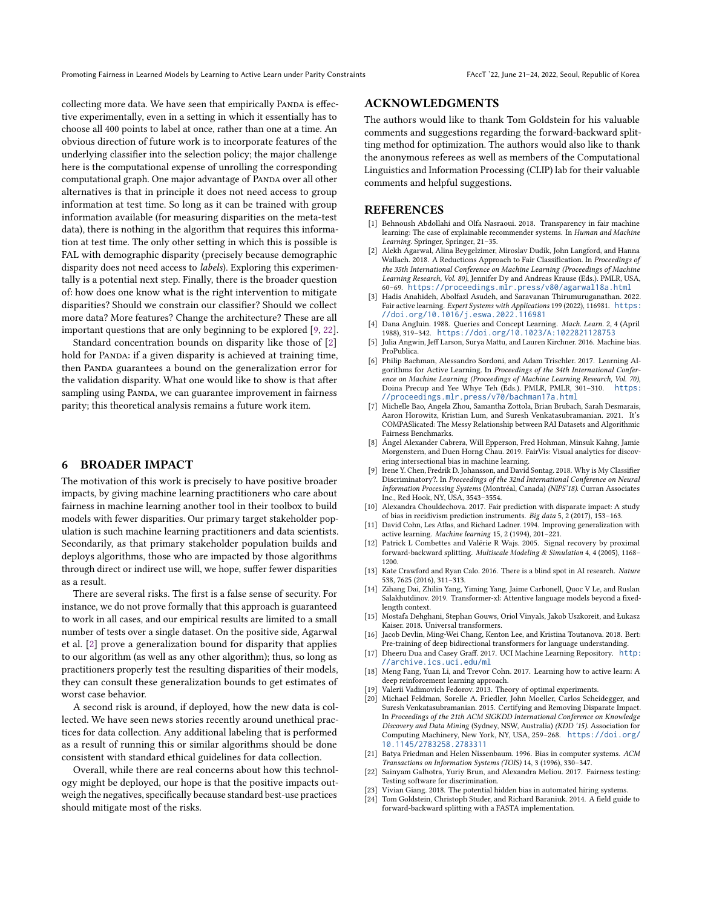Promoting Fairness in Learned Models by Learning to Active Learn under Parity Constraints FACCT '22, June 21-24, 2022, Seoul, Republic of Korea

collecting more data. We have seen that empirically PANDA is effective experimentally, even in a setting in which it essentially has to choose all 400 points to label at once, rather than one at a time. An obvious direction of future work is to incorporate features of the underlying classifier into the selection policy; the major challenge here is the computational expense of unrolling the corresponding computational graph. One major advantage of PANDA over all other alternatives is that in principle it does not need access to group information at test time. So long as it can be trained with group information available (for measuring disparities on the meta-test data), there is nothing in the algorithm that requires this information at test time. The only other setting in which this is possible is FAL with demographic disparity (precisely because demographic disparity does not need access to labels). Exploring this experimentally is a potential next step. Finally, there is the broader question of: how does one know what is the right intervention to mitigate disparities? Should we constrain our classifier? Should we collect more data? More features? Change the architecture? These are all important questions that are only beginning to be explored [\[9,](#page-6-1) [22\]](#page-6-23).

Standard concentration bounds on disparity like those of [\[2\]](#page-6-13) hold for PANDA: if a given disparity is achieved at training time, then PANDA guarantees a bound on the generalization error for the validation disparity. What one would like to show is that after sampling using PANDA, we can guarantee improvement in fairness parity; this theoretical analysis remains a future work item.

## 6 BROADER IMPACT

The motivation of this work is precisely to have positive broader impacts, by giving machine learning practitioners who care about fairness in machine learning another tool in their toolbox to build models with fewer disparities. Our primary target stakeholder population is such machine learning practitioners and data scientists. Secondarily, as that primary stakeholder population builds and deploys algorithms, those who are impacted by those algorithms through direct or indirect use will, we hope, suffer fewer disparities as a result.

There are several risks. The first is a false sense of security. For instance, we do not prove formally that this approach is guaranteed to work in all cases, and our empirical results are limited to a small number of tests over a single dataset. On the positive side, Agarwal et al. [\[2\]](#page-6-13) prove a generalization bound for disparity that applies to our algorithm (as well as any other algorithm); thus, so long as practitioners properly test the resulting disparities of their models, they can consult these generalization bounds to get estimates of worst case behavior.

A second risk is around, if deployed, how the new data is collected. We have seen news stories recently around unethical practices for data collection. Any additional labeling that is performed as a result of running this or similar algorithms should be done consistent with standard ethical guidelines for data collection.

Overall, while there are real concerns about how this technology might be deployed, our hope is that the positive impacts outweigh the negatives, specifically because standard best-use practices should mitigate most of the risks.

#### ACKNOWLEDGMENTS

The authors would like to thank Tom Goldstein for his valuable comments and suggestions regarding the forward-backward splitting method for optimization. The authors would also like to thank the anonymous referees as well as members of the Computational Linguistics and Information Processing (CLIP) lab for their valuable comments and helpful suggestions.

## REFERENCES

- <span id="page-6-10"></span>[1] Behnoush Abdollahi and Olfa Nasraoui. 2018. Transparency in fair machine learning: The case of explainable recommender systems. In Human and Machine Learning. Springer, Springer, 21–35.
- <span id="page-6-13"></span>Alekh Agarwal, Alina Beygelzimer, Miroslav Dudik, John Langford, and Hanna Wallach. 2018. A Reductions Approach to Fair Classification. In Proceedings of the 35th International Conference on Machine Learning (Proceedings of Machine Learning Research, Vol. 80), Jennifer Dy and Andreas Krause (Eds.). PMLR, USA, 60–69. <https://proceedings.mlr.press/v80/agarwal18a.html>
- <span id="page-6-18"></span>[3] Hadis Anahideh, Abolfazl Asudeh, and Saravanan Thirumuruganathan. 2022. Fair active learning. Expert Systems with Applications 199 (2022), 116981. [https:](https://doi.org/10.1016/j.eswa.2022.116981) [//doi.org/10.1016/j.eswa.2022.116981](https://doi.org/10.1016/j.eswa.2022.116981)
- <span id="page-6-15"></span>[4] Dana Angluin. 1988. Queries and Concept Learning. Mach. Learn. 2, 4 (April 1988), 319–342. <https://doi.org/10.1023/A:1022821128753>
- <span id="page-6-20"></span>[5] Julia Angwin, Jeff Larson, Surya Mattu, and Lauren Kirchner. 2016. Machine bias. ProPublica.
- <span id="page-6-2"></span>[6] Philip Bachman, Alessandro Sordoni, and Adam Trischler. 2017. Learning Algorithms for Active Learning. In Proceedings of the 34th International Conference on Machine Learning (Proceedings of Machine Learning Research, Vol. 70),<br>Doina Precup and Yee Whye Teh (Eds.), PMLR, PMLR, 301-310, https: Doina Precup and Yee Whye Teh (Eds.). PMLR, PMLR, 301-310. [//proceedings.mlr.press/v70/bachman17a.html](https://proceedings.mlr.press/v70/bachman17a.html)
- <span id="page-6-22"></span>[7] Michelle Bao, Angela Zhou, Samantha Zottola, Brian Brubach, Sarah Desmarais, Aaron Horowitz, Kristian Lum, and Suresh Venkatasubramanian. 2021. It's COMPASlicated: The Messy Relationship between RAI Datasets and Algorithmic Fairness Benchmarks.
- <span id="page-6-14"></span>[8] Ángel Alexander Cabrera, Will Epperson, Fred Hohman, Minsuk Kahng, Jamie Morgenstern, and Duen Horng Chau. 2019. FairVis: Visual analytics for discovering intersectional bias in machine learning.
- <span id="page-6-1"></span>[9] Irene Y. Chen, Fredrik D. Johansson, and David Sontag. 2018. Why is My Classifier Discriminatory?. In Proceedings of the 32nd International Conference on Neural Information Processing Systems (Montréal, Canada) (NIPS'18). Curran Associates Inc., Red Hook, NY, USA, 3543–3554.
- <span id="page-6-12"></span>[10] Alexandra Chouldechova. 2017. Fair prediction with disparate impact: A study of bias in recidivism prediction instruments. Big data 5, 2 (2017), 153–163.
- <span id="page-6-16"></span>[11] David Cohn, Les Atlas, and Richard Ladner. 1994. Improving generalization with active learning. Machine learning 15, 2 (1994), 201–221.
- <span id="page-6-4"></span>[12] Patrick L Combettes and Valérie R Wajs. 2005. Signal recovery by proximal forward-backward splitting. Multiscale Modeling & Simulation 4, 4 (2005), 1168– 1200.
- <span id="page-6-11"></span>[13] Kate Crawford and Ryan Calo. 2016. There is a blind spot in AI research. Nature 538, 7625 (2016), 311–313.
- <span id="page-6-6"></span>[14] Zihang Dai, Zhilin Yang, Yiming Yang, Jaime Carbonell, Quoc V Le, and Ruslan Salakhutdinov. 2019. Transformer-xl: Attentive language models beyond a fixedlength context.
- <span id="page-6-7"></span>[15] Mostafa Dehghani, Stephan Gouws, Oriol Vinyals, Jakob Uszkoreit, and Łukasz Kaiser. 2018. Universal transformers.
- <span id="page-6-8"></span>[16] Jacob Devlin, Ming-Wei Chang, Kenton Lee, and Kristina Toutanova. 2018. Bert: Pre-training of deep bidirectional transformers for language understanding.
- <span id="page-6-21"></span>[17] Dheeru Dua and Casey Graff. 2017. UCI Machine Learning Repository. [http:](http://archive.ics.uci.edu/ml) [//archive.ics.uci.edu/ml](http://archive.ics.uci.edu/ml)
- <span id="page-6-3"></span>[18] Meng Fang, Yuan Li, and Trevor Cohn. 2017. Learning how to active learn: A deep reinforcement learning approach.
- <span id="page-6-17"></span>[19] Valerii Vadimovich Fedorov. 2013. Theory of optimal experiments.
- <span id="page-6-19"></span>[20] Michael Feldman, Sorelle A. Friedler, John Moeller, Carlos Scheidegger, and Suresh Venkatasubramanian. 2015. Certifying and Removing Disparate Impact. In Proceedings of the 21th ACM SIGKDD International Conference on Knowledge Discovery and Data Mining (Sydney, NSW, Australia) (KDD<sup>'</sup>15). Association for Computing Machinery, New York, NY, USA, 259–268. [https://doi.org/](https://doi.org/10.1145/2783258.2783311) [10.1145/2783258.2783311](https://doi.org/10.1145/2783258.2783311)
- <span id="page-6-9"></span>[21] Batya Friedman and Helen Nissenbaum. 1996. Bias in computer systems. ACM Transactions on Information Systems (TOIS) 14, 3 (1996), 330–347.
- <span id="page-6-23"></span>[22] Sainyam Galhotra, Yuriy Brun, and Alexandra Meliou. 2017. Fairness testing: Testing software for discrimination.
- <span id="page-6-0"></span>[23] Vivian Giang. 2018. The potential hidden bias in automated hiring systems.
- <span id="page-6-5"></span>[24] Tom Goldstein, Christoph Studer, and Richard Baraniuk. 2014. A field guide to forward-backward splitting with a FASTA implementation.